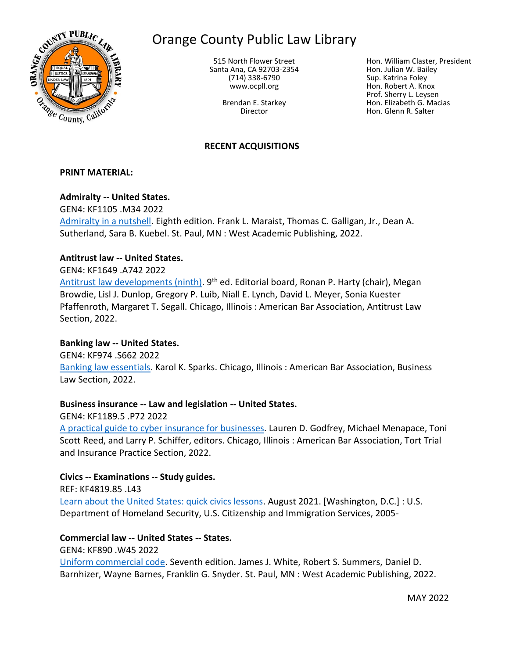

# Orange County Public Law Library

515 North Flower Street Santa Ana, CA 92703-2354 (714) 338-6790 www.ocpll.org

> Brendan E. Starkey Director

Hon. William Claster, President Hon. Julian W. Bailey Sup. Katrina Foley Hon. Robert A. Knox Prof. Sherry L. Leysen Hon. Elizabeth G. Macias Hon. Glenn R. Salter

## **RECENT ACQUISITIONS**

#### **PRINT MATERIAL:**

## **Admiralty -- United States.**

GEN4: KF1105 .M34 2022 [Admiralty in a nutshell.](https://innopac.ocpll.org/record=b245938) Eighth edition. Frank L. Maraist, Thomas C. Galligan, Jr., Dean A. Sutherland, Sara B. Kuebel. St. Paul, MN : West Academic Publishing, 2022.

## **Antitrust law -- United States.**

## GEN4: KF1649 .A742 2022

[Antitrust law developments \(ninth\).](https://innopac.ocpll.org/record=b246756) 9<sup>th</sup> ed. Editorial board, Ronan P. Harty (chair), Megan Browdie, Lisl J. Dunlop, Gregory P. Luib, Niall E. Lynch, David L. Meyer, Sonia Kuester Pfaffenroth, Margaret T. Segall. Chicago, Illinois : American Bar Association, Antitrust Law Section, 2022.

#### **Banking law -- United States.**

GEN4: KF974 .S662 2022 [Banking law essentials.](https://innopac.ocpll.org/record=b246757) Karol K. Sparks. Chicago, Illinois : American Bar Association, Business Law Section, 2022.

## **Business insurance -- Law and legislation -- United States.**

GEN4: KF1189.5 .P72 2022

[A practical guide to cyber insurance for businesses.](https://innopac.ocpll.org/record=b246751) Lauren D. Godfrey, Michael Menapace, Toni Scott Reed, and Larry P. Schiffer, editors. Chicago, Illinois : American Bar Association, Tort Trial and Insurance Practice Section, 2022.

## **Civics -- Examinations -- Study guides.**

REF: KF4819.85 .L43 [Learn about the United States: quick civics lessons.](https://innopac.ocpll.org/record=b246724) August 2021. [Washington, D.C.] : U.S. Department of Homeland Security, U.S. Citizenship and Immigration Services, 2005-

## **Commercial law -- United States -- States.**

GEN4: KF890 .W45 2022

[Uniform commercial code.](https://innopac.ocpll.org/record=b244533) Seventh edition. James J. White, Robert S. Summers, Daniel D. Barnhizer, Wayne Barnes, Franklin G. Snyder. St. Paul, MN : West Academic Publishing, 2022.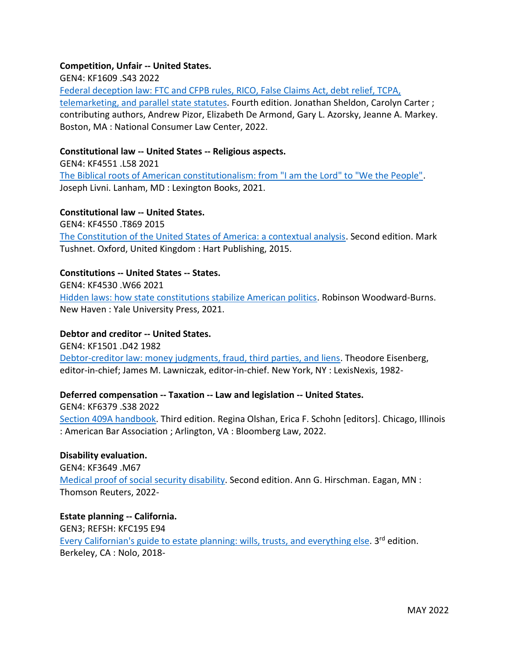## **Competition, Unfair -- United States.**

GEN4: KF1609 .S43 2022

[Federal deception law: FTC and CFPB rules, RICO, False Claims Act, debt relief, TCPA,](https://innopac.ocpll.org/record=b245940)  [telemarketing, and parallel state statutes.](https://innopac.ocpll.org/record=b245940) Fourth edition. Jonathan Sheldon, Carolyn Carter ; contributing authors, Andrew Pizor, Elizabeth De Armond, Gary L. Azorsky, Jeanne A. Markey. Boston, MA : National Consumer Law Center, 2022.

## **Constitutional law -- United States -- Religious aspects.**

GEN4: KF4551 .L58 2021 [The Biblical roots of American constitutionalism: from "I am the Lord" to "We the People".](https://innopac.ocpll.org/record=b243564) Joseph Livni. Lanham, MD : Lexington Books, 2021.

## **Constitutional law -- United States.**

GEN4: KF4550 .T869 2015 [The Constitution of the United States of America: a contextual analysis.](https://innopac.ocpll.org/record=b242596) Second edition. Mark Tushnet. Oxford, United Kingdom : Hart Publishing, 2015.

## **Constitutions -- United States -- States.**

GEN4: KF4530 .W66 2021 [Hidden laws: how state constitutions stabilize American politics.](https://innopac.ocpll.org/record=b243563) Robinson Woodward-Burns. New Haven : Yale University Press, 2021.

## **Debtor and creditor -- United States.**

GEN4: KF1501 .D42 1982 [Debtor-creditor law: money judgments, fraud, third parties, and liens.](https://innopac.ocpll.org/record=b242684) Theodore Eisenberg, editor-in-chief; James M. Lawniczak, editor-in-chief. New York, NY : LexisNexis, 1982-

## **Deferred compensation -- Taxation -- Law and legislation -- United States.**

GEN4: KF6379 .S38 2022 [Section 409A handbook.](https://innopac.ocpll.org/record=b246755) Third edition. Regina Olshan, Erica F. Schohn [editors]. Chicago, Illinois : American Bar Association ; Arlington, VA : Bloomberg Law, 2022.

## **Disability evaluation.** GEN4: KF3649 .M67 [Medical proof of social security disability.](https://innopac.ocpll.org/record=b244637) Second edition. Ann G. Hirschman. Eagan, MN : Thomson Reuters, 2022-

**Estate planning -- California.** GEN3; REFSH: KFC195 E94 [Every Californian's guide to estate planning: wills, trusts,](https://innopac.ocpll.org/record=b244535) and everything else. 3<sup>rd</sup> edition. Berkeley, CA : Nolo, 2018-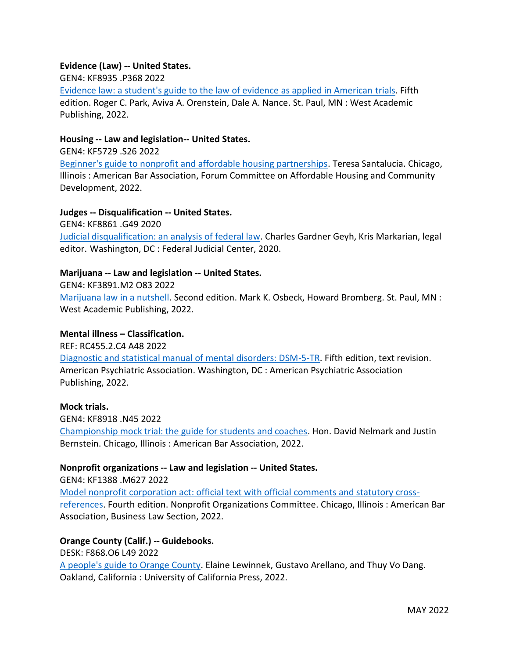## **Evidence (Law) -- United States.**

GEN4: KF8935 .P368 2022

[Evidence law: a student's guide to the law of evidence as applied in American](https://innopac.ocpll.org/record=b245939) trials. Fifth edition. Roger C. Park, Aviva A. Orenstein, Dale A. Nance. St. Paul, MN : West Academic Publishing, 2022.

#### **Housing -- Law and legislation-- United States.**

GEN4: KF5729 .S26 2022

[Beginner's guide to nonprofit and affordable housing partnerships.](https://innopac.ocpll.org/record=b246753) Teresa Santalucia. Chicago, Illinois : American Bar Association, Forum Committee on Affordable Housing and Community Development, 2022.

## **Judges -- Disqualification -- United States.**

GEN4: KF8861 .G49 2020

[Judicial disqualification: an analysis of federal law.](https://innopac.ocpll.org/record=b242593) Charles Gardner Geyh, Kris Markarian, legal editor. Washington, DC : Federal Judicial Center, 2020.

## **Marijuana -- Law and legislation -- United States.**

GEN4: KF3891.M2 O83 2022

[Marijuana law in a nutshell.](https://innopac.ocpll.org/record=b246748) Second edition. Mark K. Osbeck, Howard Bromberg. St. Paul, MN : West Academic Publishing, 2022.

## **Mental illness – Classification.**

REF: RC455.2.C4 A48 2022

[Diagnostic and statistical manual of mental disorders: DSM-5-TR.](https://innopac.ocpll.org/record=b246729) Fifth edition, text revision. American Psychiatric Association. Washington, DC : American Psychiatric Association Publishing, 2022.

#### **Mock trials.**

GEN4: KF8918 .N45 2022 [Championship mock trial: the guide for students and coaches.](https://innopac.ocpll.org/record=b246754) Hon. David Nelmark and Justin Bernstein. Chicago, Illinois : American Bar Association, 2022.

## **Nonprofit organizations -- Law and legislation -- United States.**

GEN4: KF1388 .M627 2022 [Model nonprofit corporation act: official text with official comments and statutory cross](https://innopac.ocpll.org/record=b246758)[references.](https://innopac.ocpll.org/record=b246758) Fourth edition. Nonprofit Organizations Committee. Chicago, Illinois : American Bar Association, Business Law Section, 2022.

## **Orange County (Calif.) -- Guidebooks.**

DESK: F868.O6 L49 2022

[A people's guide to Orange County.](https://innopac.ocpll.org/record=b242595) Elaine Lewinnek, Gustavo Arellano, and Thuy Vo Dang. Oakland, California : University of California Press, 2022.